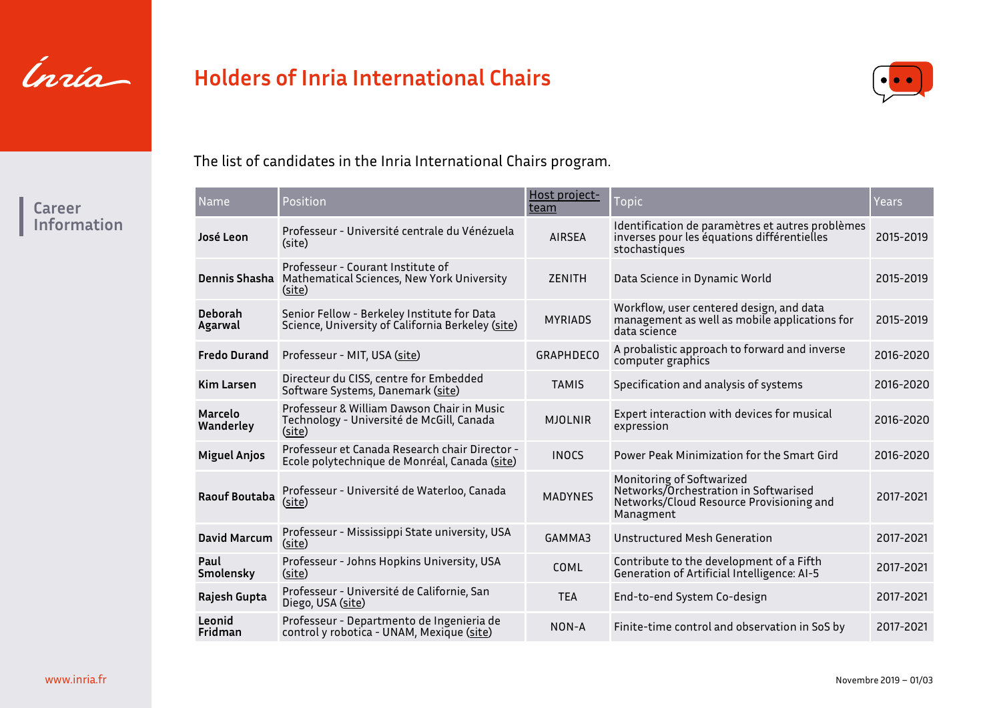

# **Holders of Inria International Chairs**



The list of candidates in the Inria International Chairs program.

| Name                 | Position                                                                                                | Host project-<br>team | <b>Topic</b>                                                                                                                | Years     |
|----------------------|---------------------------------------------------------------------------------------------------------|-----------------------|-----------------------------------------------------------------------------------------------------------------------------|-----------|
| José Leon            | Professeur - Université centrale du Vénézuela<br>(site)                                                 | <b>AIRSEA</b>         | Identification de paramètres et autres problèmes<br>inverses pour les équations différentielles<br>stochastiques            | 2015-2019 |
|                      | Professeur - Courant Institute of<br>Dennis Shasha Mathematical Sciences, New York University<br>(site) | <b>ZENITH</b>         | Data Science in Dynamic World                                                                                               | 2015-2019 |
| Deborah<br>Agarwal   | Senior Fellow - Berkeley Institute for Data<br>Science, University of California Berkeley (site)        | <b>MYRIADS</b>        | Workflow, user centered design, and data<br>management as well as mobile applications for<br>data science                   | 2015-2019 |
| <b>Fredo Durand</b>  | Professeur - MIT, USA (site)                                                                            | <b>GRAPHDECO</b>      | A probalistic approach to forward and inverse<br>computer graphics                                                          | 2016-2020 |
| <b>Kim Larsen</b>    | Directeur du CISS, centre for Embedded<br>Software Systems, Danemark (site)                             | <b>TAMIS</b>          | Specification and analysis of systems                                                                                       | 2016-2020 |
| Marcelo<br>Wanderley | Professeur & William Dawson Chair in Music<br>Technology - Université de McGill, Canada<br>(site)       | <b>MJOLNIR</b>        | Expert interaction with devices for musical<br>expression                                                                   | 2016-2020 |
| <b>Miguel Anjos</b>  | Professeur et Canada Research chair Director -<br>Ecole polytechnique de Monréal, Canada (site)         | <b>INOCS</b>          | Power Peak Minimization for the Smart Gird                                                                                  | 2016-2020 |
| <b>Raouf Boutaba</b> | Professeur - Université de Waterloo, Canada<br>(site)                                                   | <b>MADYNES</b>        | Monitoring of Softwarized<br>Networks/Orchestration in Softwarised<br>Networks/Cloud Resource Provisioning and<br>Managment | 2017-2021 |
| <b>David Marcum</b>  | Professeur - Mississippi State university, USA<br>(site)                                                | GAMMA3                | Unstructured Mesh Generation                                                                                                | 2017-2021 |
| Paul<br>Smolensky    | Professeur - Johns Hopkins University, USA<br>(site)                                                    | COML                  | Contribute to the development of a Fifth<br>Generation of Artificial Intelligence: AI-5                                     | 2017-2021 |
| Rajesh Gupta         | Professeur - Université de Californie, San<br>Diego, USA (site)                                         | <b>TEA</b>            | End-to-end System Co-design                                                                                                 | 2017-2021 |
| Leonid<br>Fridman    | Professeur - Departmento de Ingenieria de<br>control y robotica - UNAM, Mexique (site)                  | NON-A                 | Finite-time control and observation in SoS by                                                                               | 2017-2021 |

### **Career Information**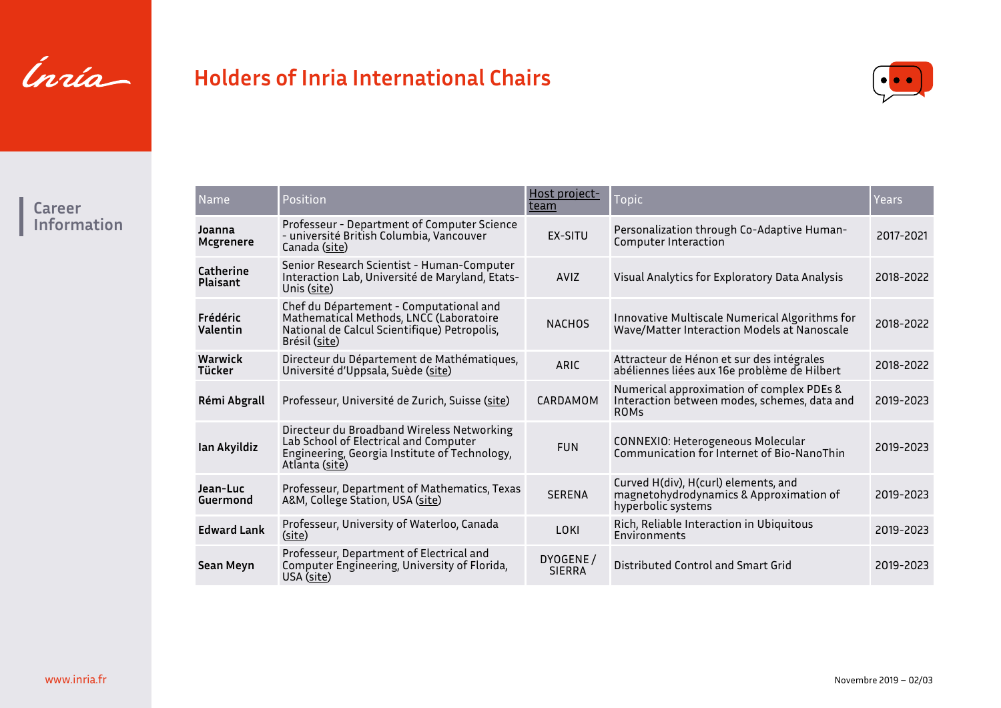

# **Holders of Inria International Chairs**



**Career Information**

| Name                         | Position                                                                                                                                               | Host project-<br>team     | <b>Topic</b>                                                                                             | Years     |
|------------------------------|--------------------------------------------------------------------------------------------------------------------------------------------------------|---------------------------|----------------------------------------------------------------------------------------------------------|-----------|
| Joanna<br>Mcgrenere          | Professeur - Department of Computer Science<br>- université British Columbia, Vancouver<br>Canada (site)                                               | <b>FX-SITU</b>            | Personalization through Co-Adaptive Human-<br>Computer Interaction                                       | 2017-2021 |
| Catherine<br><b>Plaisant</b> | Senior Research Scientist - Human-Computer<br>Interaction Lab, Université de Maryland, Etats-<br>Unis (site)                                           | <b>AVIZ</b>               | Visual Analytics for Exploratory Data Analysis                                                           | 2018-2022 |
| Frédéric<br>Valentin         | Chef du Département - Computational and<br>Mathematical Methods, LNCC (Laboratoire<br>National de Calcul Scientifique) Petropolis,<br>Brésil (site)    | <b>NACHOS</b>             | Innovative Multiscale Numerical Algorithms for<br>Wave/Matter Interaction Models at Nanoscale            | 2018-2022 |
| Warwick<br>Tücker            | Directeur du Département de Mathématiques,<br>Université d'Uppsala, Suède (site)                                                                       | ARIC                      | Attracteur de Hénon et sur des intégrales<br>abéliennes liées aux 16e problème de Hilbert                | 2018-2022 |
| Rémi Abgrall                 | Professeur, Université de Zurich, Suisse (site)                                                                                                        | CARDAMOM                  | Numerical approximation of complex PDEs &<br>Interaction between modes, schemes, data and<br><b>ROMs</b> | 2019-2023 |
| Ian Akyildiz                 | Directeur du Broadband Wireless Networking<br>Lab School of Electrical and Computer<br>Engineering, Georgia Institute of Technology,<br>Atlanta (site) | <b>FUN</b>                | CONNEXIO: Heterogeneous Molecular<br>Communication for Internet of Bio-NanoThin                          | 2019-2023 |
| Jean-Luc<br>Guermond         | Professeur, Department of Mathematics, Texas<br>A&M, College Station, USA (site)                                                                       | <b>SERENA</b>             | Curved H(div), H(curl) elements, and<br>magnetohydrodynamics & Approximation of<br>hyperbolic systems    | 2019-2023 |
| <b>Edward Lank</b>           | Professeur, University of Waterloo, Canada<br>(site)                                                                                                   | LOKI                      | Rich, Reliable Interaction in Ubiquitous<br>Environments                                                 | 2019-2023 |
| Sean Meyn                    | Professeur, Department of Electrical and<br>Computer Engineering, University of Florida,<br>USA (site)                                                 | DYOGENE/<br><b>SIERRA</b> | Distributed Control and Smart Grid                                                                       | 2019-2023 |